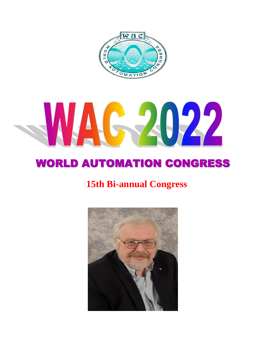

# WAG-2022

# WORLD AUTOMATION CONGRESS

## **15th Bi-annual Congress**

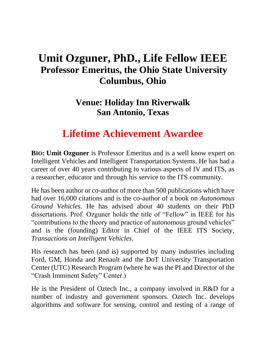### **Umit Ozguner, PhD., Life Fellow IEEE Professor Emeritus, the Ohio State University Columbus, Ohio**

### **Venue: Holiday Inn Riverwalk San Antonio, Texas**

### **Lifetime Achievement Awardee**

**BIO: Umit Ozguner** is Professor Emeritus and is a well know expert on Intelligent Vehicles and Intelligent Transportation Systems. He has had a career of over 40 years contributing to various aspects of IV and ITS, as a researcher, educator and through his service to the ITS community.

He has been author or co-author of more than 500 publications which have had over 16,000 citations and is the co-author of a book on *Autonomous Ground Vehicles.* He has advised about 40 students on their PhD dissertations. Prof. Ozguner holds the title of "Fellow" in IEEE for his "contributions to the theory and practice of autonomous ground vehicles" and is the (founding) Editor in Chief of the IEEE ITS Society, *Transactions on Intelligent Vehicles*.

His research has been (and is) supported by many industries including Ford, GM, Honda and Renault and the DoT University Transportation Center (UTC) Research Program (where he was the PI and Director of the "Crash Imminent Safety" Center.)

He is the President of Oztech Inc., a company involved in R&D for a number of industry and government sponsors. Oztech Inc. develops algorithms and software for sensing, control and testing of a range of